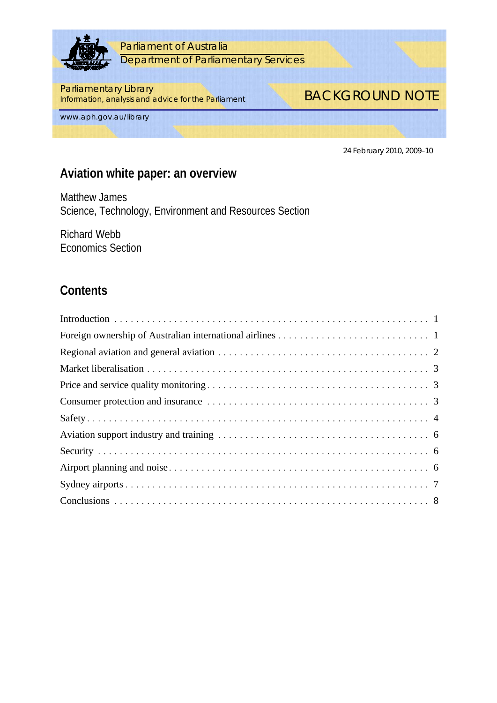

Parliament of Australia Department of Parliamentary Services

#### Parliamentary Library

**Information, analysis and advice for the Parliament** BACKGROUND NOTE

www.aph.gov.au/library

24 February 2010, 2009–10

# **Aviation white paper: an overview**

Matthew James Science, Technology, Environment and Resources Section

Richard Webb Economics Section

# **Contents**

| Foreign ownership of Australian international airlines $\ldots \ldots \ldots \ldots \ldots \ldots \ldots \ldots \ldots$ |
|-------------------------------------------------------------------------------------------------------------------------|
|                                                                                                                         |
|                                                                                                                         |
|                                                                                                                         |
|                                                                                                                         |
|                                                                                                                         |
|                                                                                                                         |
|                                                                                                                         |
|                                                                                                                         |
|                                                                                                                         |
|                                                                                                                         |
|                                                                                                                         |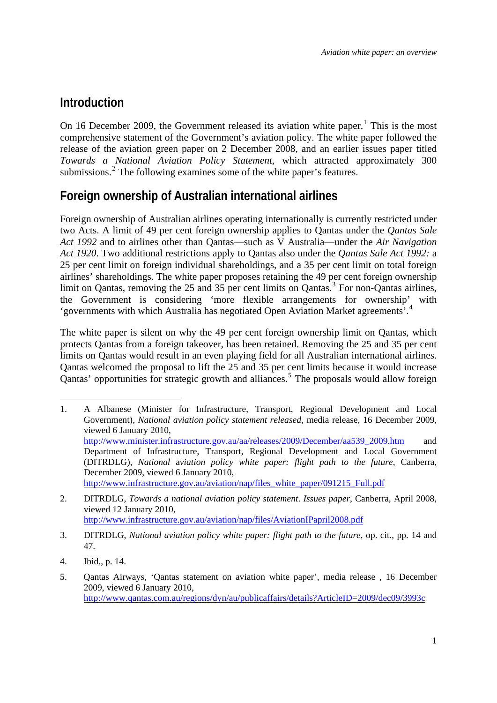### <span id="page-2-0"></span>**Introduction**

On [1](#page-2-1)6 December 2009, the Government released its aviation white paper.<sup>1</sup> This is the most comprehensive statement of the Government's aviation policy. The white paper followed the release of the aviation green paper on 2 December 2008, and an earlier issues paper titled *Towards a National Aviation Policy Statement*, which attracted approximately 300 submissions. $2$  The following examines some of the white paper's features.

# **Foreign ownership of Australian international airlines**

Foreign ownership of Australian airlines operating internationally is currently restricted under two Acts. A limit of 49 per cent foreign ownership applies to Qantas under the *Qantas Sale Act 1992* and to airlines other than Qantas—such as V Australia—under the *Air Navigation Act 1920*. Two additional restrictions apply to Qantas also under the *Qantas Sale Act 1992:* a 25 per cent limit on foreign individual shareholdings, and a 35 per cent limit on total foreign airlines' shareholdings. The white paper proposes retaining the 49 per cent foreign ownership limit on Qantas, removing the 25 and [3](#page-2-3)5 per cent limits on Qantas.<sup>3</sup> For non-Qantas airlines, the Government is considering 'more flexible arrangements for ownership' with 'governments with which Australia has negotiated Open Aviation Market agreements'.[4](#page-2-4)

The white paper is silent on why the 49 per cent foreign ownership limit on Qantas, which protects Qantas from a foreign takeover, has been retained. Removing the 25 and 35 per cent limits on Qantas would result in an even playing field for all Australian international airlines. Qantas welcomed the proposal to lift the 25 and 35 per cent limits because it would increase Qantas' opportunities for strategic growth and alliances.<sup>[5](#page-2-5)</sup> The proposals would allow foreign

<span id="page-2-1"></span><sup>1</sup> 1. A Albanese (Minister for Infrastructure, Transport, Regional Development and Local Government), *National aviation policy statement released*, media release, 16 December 2009, viewed 6 January 2010, [http://www.minister.infrastructure.gov.au/aa/releases/2009/December/aa539\\_2009.htm](http://www.minister.infrastructure.gov.au/aa/releases/2009/December/aa539_2009.htm) and Department of Infrastructure, Transport, Regional Development and Local Government (DITRDLG), *National* a*viation policy white paper: flight path to the future*, Canberra, December 2009, viewed 6 January 2010, http://www.infrastructure.gov.au/aviation/nap/files\_white\_paper/091215\_Full.pdf

<span id="page-2-2"></span><sup>2.</sup> DITRDLG, *Towards a national aviation policy statement*. *Issues paper*, Canberra, April 2008, viewed 12 January 2010, <http://www.infrastructure.gov.au/aviation/nap/files/AviationIPapril2008.pdf>

<span id="page-2-3"></span><sup>3.</sup> DITRDLG, *National aviation policy white paper: flight path to the future*, op. cit., pp. 14 and 47.

<span id="page-2-4"></span><sup>4.</sup> Ibid., p. 14.

<span id="page-2-5"></span><sup>5.</sup> Qantas Airways, 'Qantas statement on aviation white paper', media release , 16 December 2009, viewed 6 January 2010, <http://www.qantas.com.au/regions/dyn/au/publicaffairs/details?ArticleID=2009/dec09/3993c>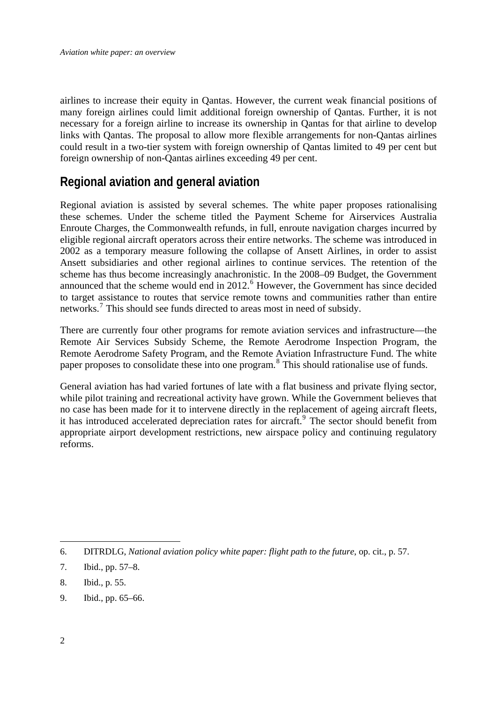<span id="page-3-0"></span>airlines to increase their equity in Qantas. However, the current weak financial positions of many foreign airlines could limit additional foreign ownership of Qantas. Further, it is not necessary for a foreign airline to increase its ownership in Qantas for that airline to develop links with Qantas. The proposal to allow more flexible arrangements for non-Qantas airlines could result in a two-tier system with foreign ownership of Qantas limited to 49 per cent but foreign ownership of non-Qantas airlines exceeding 49 per cent.

# **Regional aviation and general aviation**

Regional aviation is assisted by several schemes. The white paper proposes rationalising these schemes. Under the scheme titled the Payment Scheme for Airservices Australia Enroute Charges, the Commonwealth refunds, in full, enroute navigation charges incurred by eligible regional aircraft operators across their entire networks. The scheme was introduced in 2002 as a temporary measure following the collapse of Ansett Airlines, in order to assist Ansett subsidiaries and other regional airlines to continue services. The retention of the scheme has thus become increasingly anachronistic. In the 2008–09 Budget, the Government announced that the scheme would end in 2012.<sup>[6](#page-3-1)</sup> However, the Government has since decided to target assistance to routes that service remote towns and communities rather than entire networks.<sup>[7](#page-3-2)</sup> This should see funds directed to areas most in need of subsidy.

There are currently four other programs for remote aviation services and infrastructure—the Remote Air Services Subsidy Scheme, the Remote Aerodrome Inspection Program, the Remote Aerodrome Safety Program, and the Remote Aviation Infrastructure Fund. The white paper proposes to consolidate these into one program.<sup>[8](#page-3-3)</sup> This should rationalise use of funds.

General aviation has had varied fortunes of late with a flat business and private flying sector, while pilot training and recreational activity have grown. While the Government believes that no case has been made for it to intervene directly in the replacement of ageing aircraft fleets, it has introduced accelerated depreciation rates for aircraft.<sup>[9](#page-3-4)</sup> The sector should benefit from appropriate airport development restrictions, new airspace policy and continuing regulatory reforms.

<span id="page-3-4"></span>9. Ibid., pp. 65–66.

<span id="page-3-1"></span><sup>6.</sup> DITRDLG, *National aviation policy white paper: flight path to the future*, op. cit., p. 57.

<span id="page-3-2"></span><sup>7.</sup> Ibid., pp. 57–8.

<span id="page-3-3"></span><sup>8.</sup> Ibid., p. 55.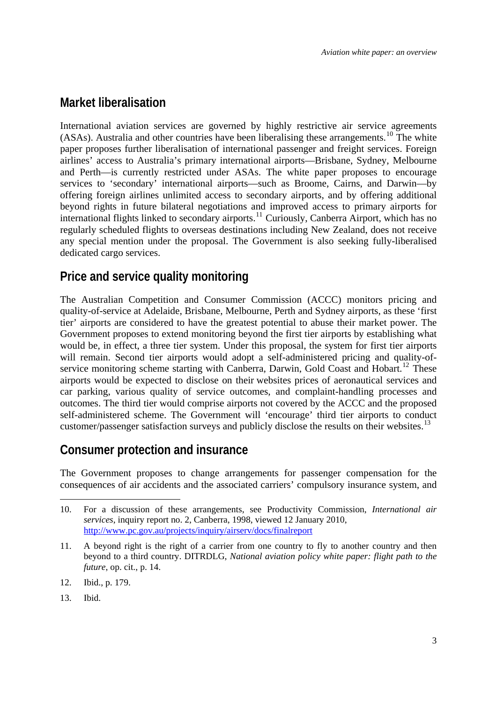### <span id="page-4-0"></span>**Market liberalisation**

International aviation services are governed by highly restrictive air service agreements (ASAs). Australia and other countries have been liberalising these arrangements.<sup>[10](#page-4-1)</sup> The white paper proposes further liberalisation of international passenger and freight services. Foreign airlines' access to Australia's primary international airports—Brisbane, Sydney, Melbourne and Perth—is currently restricted under ASAs. The white paper proposes to encourage services to 'secondary' international airports—such as Broome, Cairns, and Darwin—by offering foreign airlines unlimited access to secondary airports, and by offering additional beyond rights in future bilateral negotiations and improved access to primary airports for international flights linked to secondary airports.<sup>[11](#page-4-2)</sup> Curiously, Canberra Airport, which has no regularly scheduled flights to overseas destinations including New Zealand, does not receive any special mention under the proposal. The Government is also seeking fully-liberalised dedicated cargo services.

### **Price and service quality monitoring**

The Australian Competition and Consumer Commission (ACCC) monitors pricing and quality-of-service at Adelaide, Brisbane, Melbourne, Perth and Sydney airports, as these 'first tier' airports are considered to have the greatest potential to abuse their market power. The Government proposes to extend monitoring beyond the first tier airports by establishing what would be, in effect, a three tier system. Under this proposal, the system for first tier airports will remain. Second tier airports would adopt a self-administered pricing and quality-of-service monitoring scheme starting with Canberra, Darwin, Gold Coast and Hobart.<sup>[12](#page-4-3)</sup> These airports would be expected to disclose on their websites prices of aeronautical services and car parking, various quality of service outcomes, and complaint-handling processes and outcomes. The third tier would comprise airports not covered by the ACCC and the proposed self-administered scheme. The Government will 'encourage' third tier airports to conduct customer/passenger satisfaction surveys and publicly disclose the results on their websites.<sup>[13](#page-4-4)</sup>

### **Consumer protection and insurance**

The Government proposes to change arrangements for passenger compensation for the consequences of air accidents and the associated carriers' compulsory insurance system, and

- <span id="page-4-2"></span>11. A beyond right is the right of a carrier from one country to fly to another country and then beyond to a third country. DITRDLG, *National aviation policy white paper: flight path to the future*, op. cit., p. 14.
- <span id="page-4-3"></span>12. Ibid., p. 179.
- <span id="page-4-4"></span>13. Ibid.

<span id="page-4-1"></span><sup>10.</sup> For a discussion of these arrangements, see Productivity Commission, *International air services*, inquiry report no. 2, Canberra, 1998, viewed 12 January 2010, <http://www.pc.gov.au/projects/inquiry/airserv/docs/finalreport>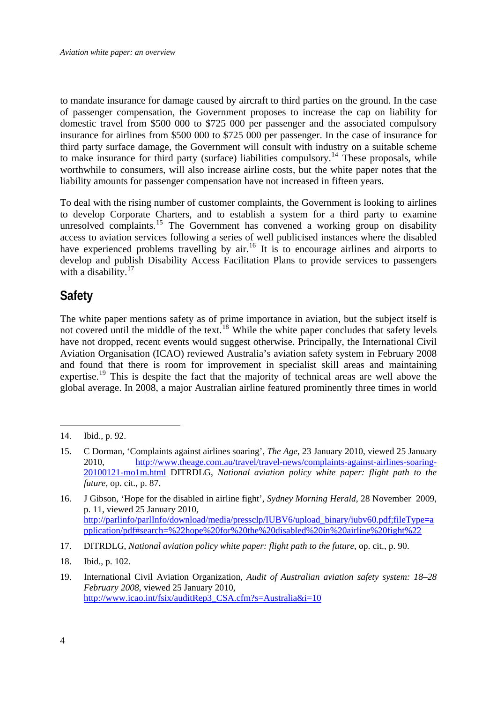<span id="page-5-0"></span>to mandate insurance for damage caused by aircraft to third parties on the ground. In the case of passenger compensation, the Government proposes to increase the cap on liability for domestic travel from \$500 000 to \$725 000 per passenger and the associated compulsory insurance for airlines from \$500 000 to \$725 000 per passenger. In the case of insurance for third party surface damage, the Government will consult with industry on a suitable scheme to make insurance for third party (surface) liabilities compulsory.<sup>[14](#page-5-1)</sup> These proposals, while worthwhile to consumers, will also increase airline costs, but the white paper notes that the liability amounts for passenger compensation have not increased in fifteen years.

To deal with the rising number of customer complaints, the Government is looking to airlines to develop Corporate Charters, and to establish a system for a third party to examine unresolved complaints.<sup>[15](#page-5-2)</sup> The Government has convened a working group on disability access to aviation services following a series of well publicised instances where the disabled have experienced problems travelling by air.<sup>[16](#page-5-3)</sup> It is to encourage airlines and airports to develop and publish Disability Access Facilitation Plans to provide services to passengers with a disability. $17$ 

# **Safety**

The white paper mentions safety as of prime importance in aviation, but the subject itself is not covered until the middle of the text.<sup>[18](#page-5-5)</sup> While the white paper concludes that safety levels have not dropped, recent events would suggest otherwise. Principally, the International Civil Aviation Organisation (ICAO) reviewed Australia's aviation safety system in February 2008 and found that there is room for improvement in specialist skill areas and maintaining expertise.<sup>[19](#page-5-6)</sup> This is despite the fact that the majority of technical areas are well above the global average. In 2008, a major Australian airline featured prominently three times in world

<u>.</u>

- <span id="page-5-4"></span>17. DITRDLG, *National aviation policy white paper: flight path to the future*, op. cit., p. 90.
- <span id="page-5-5"></span>18. Ibid., p. 102.

<span id="page-5-1"></span><sup>14.</sup> Ibid., p. 92.

<span id="page-5-2"></span><sup>15.</sup> C Dorman, 'Complaints against airlines soaring', *The Age*, 23 January 2010, viewed 25 January 2010, [http://www.theage.com.au/travel/travel-news/complaints-against-airlines-soaring-](http://www.theage.com.au/travel/travel-news/complaints-against-airlines-soaring-20100121-mo1m.html)[20100121-mo1m.html](http://www.theage.com.au/travel/travel-news/complaints-against-airlines-soaring-20100121-mo1m.html) DITRDLG, *National aviation policy white paper: flight path to the future*, op. cit., p. 87.

<span id="page-5-3"></span><sup>16.</sup> J Gibson, 'Hope for the disabled in airline fight', *Sydney Morning Herald*, 28 November 2009, p. 11, viewed 25 January 2010, [http://parlinfo/parlInfo/download/media/pressclp/IUBV6/upload\\_binary/iubv60.pdf;fileType=a](http://parlinfo/parlInfo/download/media/pressclp/IUBV6/upload_binary/iubv60.pdf;fileType=application/pdf#search=%22hope%20for%20the%20disabled%20in%20airline%20fight%22) [pplication/pdf#search=%22hope%20for%20the%20disabled%20in%20airline%20fight%22](http://parlinfo/parlInfo/download/media/pressclp/IUBV6/upload_binary/iubv60.pdf;fileType=application/pdf#search=%22hope%20for%20the%20disabled%20in%20airline%20fight%22) 

<span id="page-5-6"></span><sup>19.</sup> International Civil Aviation Organization, *Audit of Australian aviation safety system: 18–28 February 2008*, viewed 25 January 2010, [http://www.icao.int/fsix/auditRep3\\_CSA.cfm?s=Australia&i=10](http://www.icao.int/fsix/auditRep3_CSA.cfm?s=Australia&i=10)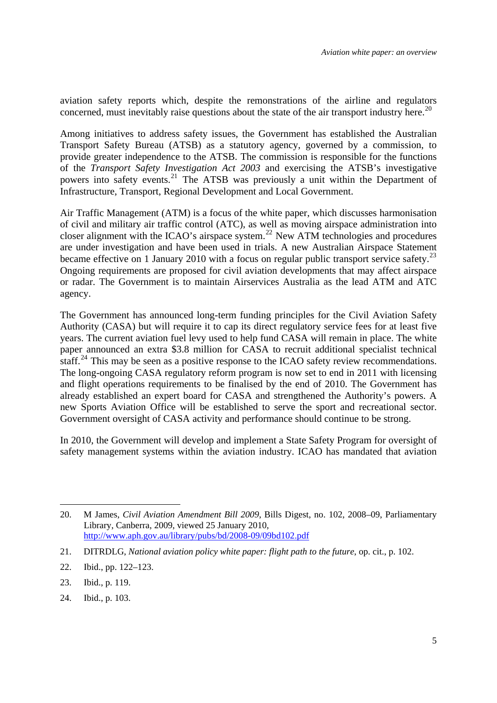aviation safety reports which, despite the remonstrations of the airline and regulators concerned, must inevitably raise questions about the state of the air transport industry here.<sup>[20](#page-6-0)</sup>

Among initiatives to address safety issues, the Government has established the Australian Transport Safety Bureau (ATSB) as a statutory agency, governed by a commission, to provide greater independence to the ATSB. The commission is responsible for the functions of the *Transport Safety Investigation Act 2003* and exercising the ATSB's investigative powers into safety events.<sup>[21](#page-6-1)</sup> The ATSB was previously a unit within the Department of Infrastructure, Transport, Regional Development and Local Government.

Air Traffic Management (ATM) is a focus of the white paper, which discusses harmonisation of civil and military air traffic control (ATC), as well as moving airspace administration into closer alignment with the ICAO's airspace system.<sup>[22](#page-6-2)</sup> New ATM technologies and procedures are under investigation and have been used in trials. A new Australian Airspace Statement became effective on 1 January 2010 with a focus on regular public transport service safety.<sup>[23](#page-6-3)</sup> Ongoing requirements are proposed for civil aviation developments that may affect airspace or radar. The Government is to maintain Airservices Australia as the lead ATM and ATC agency.

The Government has announced long-term funding principles for the Civil Aviation Safety Authority (CASA) but will require it to cap its direct regulatory service fees for at least five years. The current aviation fuel levy used to help fund CASA will remain in place. The white paper announced an extra \$3.8 million for CASA to recruit additional specialist technical staff.<sup>[24](#page-6-4)</sup> This may be seen as a positive response to the ICAO safety review recommendations. The long-ongoing CASA regulatory reform program is now set to end in 2011 with licensing and flight operations requirements to be finalised by the end of 2010. The Government has already established an expert board for CASA and strengthened the Authority's powers. A new Sports Aviation Office will be established to serve the sport and recreational sector. Government oversight of CASA activity and performance should continue to be strong.

In 2010, the Government will develop and implement a State Safety Program for oversight of safety management systems within the aviation industry. ICAO has mandated that aviation

<u>.</u>

<span id="page-6-0"></span><sup>20.</sup> M James, *Civil Aviation Amendment Bill 2009*, Bills Digest, no. 102, 2008–09, Parliamentary Library, Canberra, 2009, viewed 25 January 2010, <http://www.aph.gov.au/library/pubs/bd/2008-09/09bd102.pdf>

<span id="page-6-1"></span><sup>21.</sup> DITRDLG, *National aviation policy white paper: flight path to the future*, op. cit., p. 102.

<span id="page-6-2"></span><sup>22.</sup> Ibid., pp. 122–123.

<span id="page-6-3"></span><sup>23.</sup> Ibid., p. 119.

<span id="page-6-4"></span><sup>24.</sup> Ibid., p. 103.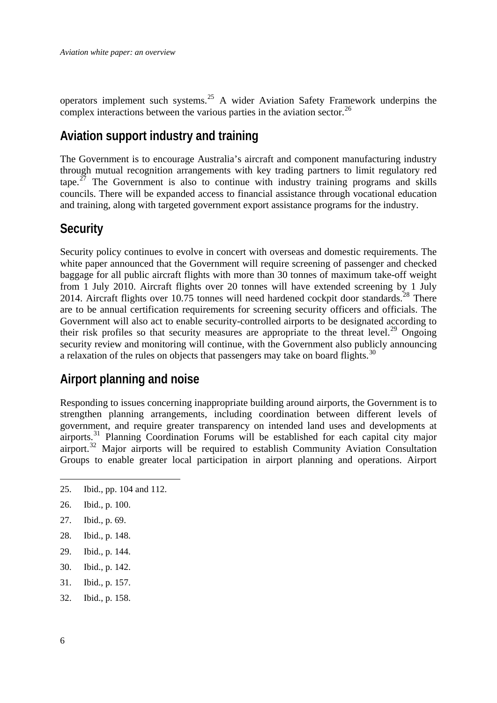<span id="page-7-0"></span>operators implement such systems.<sup>[25](#page-7-1)</sup> A wider Aviation Safety Framework underpins the complex interactions between the various parties in the aviation sector.<sup>[26](#page-7-2)</sup>

### **Aviation support industry and training**

The Government is to encourage Australia's aircraft and component manufacturing industry through mutual recognition arrangements with key trading partners to limit regulatory red tape.<sup>[27](#page-7-3)</sup> The Government is also to continue with industry training programs and skills councils. There will be expanded access to financial assistance through vocational education and training, along with targeted government export assistance programs for the industry.

#### **Security**

Security policy continues to evolve in concert with overseas and domestic requirements. The white paper announced that the Government will require screening of passenger and checked baggage for all public aircraft flights with more than 30 tonnes of maximum take-off weight from 1 July 2010. Aircraft flights over 20 tonnes will have extended screening by 1 July 2014. Aircraft flights over 10.75 tonnes will need hardened cockpit door standards.<sup>[28](#page-7-4)</sup> There are to be annual certification requirements for screening security officers and officials. The Government will also act to enable security-controlled airports to be designated according to their risk profiles so that security measures are appropriate to the threat level.<sup>[29](#page-7-5)</sup> Ongoing security review and monitoring will continue, with the Government also publicly announcing a relaxation of the rules on objects that passengers may take on board flights.<sup>[30](#page-7-6)</sup>

### **Airport planning and noise**

Responding to issues concerning inappropriate building around airports, the Government is to strengthen planning arrangements, including coordination between different levels of government, and require greater transparency on intended land uses and developments at airports.<sup>[31](#page-7-7)</sup> Planning Coordination Forums will be established for each capital city major airport.<sup>[32](#page-7-8)</sup> Major airports will be required to establish Community Aviation Consultation Groups to enable greater local participation in airport planning and operations. Airport

- <span id="page-7-3"></span>27. Ibid., p. 69.
- <span id="page-7-4"></span>28. Ibid., p. 148.
- <span id="page-7-5"></span>29. Ibid., p. 144.
- <span id="page-7-6"></span>30. Ibid., p. 142.
- <span id="page-7-7"></span>31. Ibid., p. 157.
- <span id="page-7-8"></span>32. Ibid., p. 158.

<span id="page-7-1"></span><sup>25.</sup> Ibid., pp. 104 and 112.

<span id="page-7-2"></span><sup>26.</sup> Ibid., p. 100.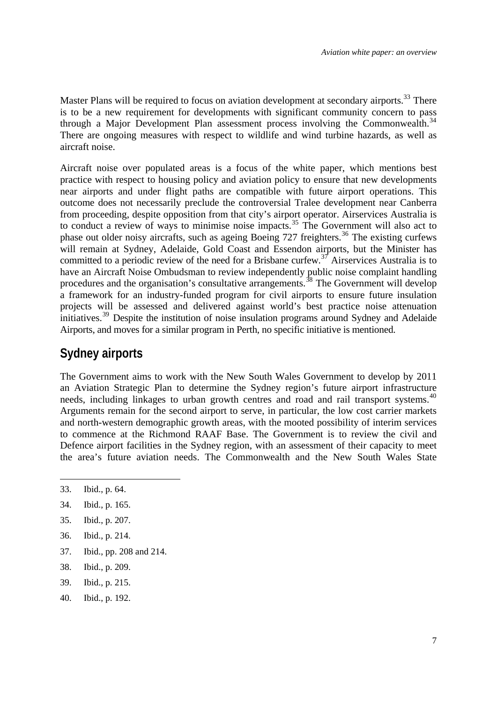<span id="page-8-0"></span>Master Plans will be required to focus on aviation development at secondary airports.<sup>[33](#page-8-1)</sup> There is to be a new requirement for developments with significant community concern to pass through a Major Development Plan assessment process involving the Commonwealth.<sup>[34](#page-8-2)</sup> There are ongoing measures with respect to wildlife and wind turbine hazards, as well as aircraft noise.

Aircraft noise over populated areas is a focus of the white paper, which mentions best practice with respect to housing policy and aviation policy to ensure that new developments near airports and under flight paths are compatible with future airport operations. This outcome does not necessarily preclude the controversial Tralee development near Canberra from proceeding, despite opposition from that city's airport operator. Airservices Australia is to conduct a review of ways to minimise noise impacts.<sup>[35](#page-8-3)</sup> The Government will also act to phase out older noisy aircrafts, such as ageing Boeing 727 freighters.<sup>[36](#page-8-4)</sup> The existing curfews will remain at Sydney, Adelaide, Gold Coast and Essendon airports, but the Minister has committed to a periodic review of the need for a Brisbane curfew.<sup>[37](#page-8-5)</sup> Airservices Australia is to have an Aircraft Noise Ombudsman to review independently public noise complaint handling procedures and the organisation's consultative arrangements.<sup>[38](#page-8-6)</sup> The Government will develop a framework for an industry-funded program for civil airports to ensure future insulation projects will be assessed and delivered against world's best practice noise attenuation initiatives.<sup>[39](#page-8-7)</sup> Despite the institution of noise insulation programs around Sydney and Adelaide Airports, and moves for a similar program in Perth, no specific initiative is mentioned.

### **Sydney airports**

The Government aims to work with the New South Wales Government to develop by 2011 an Aviation Strategic Plan to determine the Sydney region's future airport infrastructure needs, including linkages to urban growth centres and road and rail transport systems.<sup>[40](#page-8-8)</sup> Arguments remain for the second airport to serve, in particular, the low cost carrier markets and north-western demographic growth areas, with the mooted possibility of interim services to commence at the Richmond RAAF Base. The Government is to review the civil and Defence airport facilities in the Sydney region, with an assessment of their capacity to meet the area's future aviation needs. The Commonwealth and the New South Wales State

- <span id="page-8-2"></span>34. Ibid., p. 165.
- <span id="page-8-3"></span>35. Ibid., p. 207.
- <span id="page-8-4"></span>36. Ibid., p. 214.
- <span id="page-8-5"></span>37. Ibid., pp. 208 and 214.
- <span id="page-8-6"></span>38. Ibid., p. 209.
- <span id="page-8-7"></span>39. Ibid., p. 215.
- <span id="page-8-8"></span>40. Ibid., p. 192.

<span id="page-8-1"></span><sup>33.</sup> Ibid., p. 64.